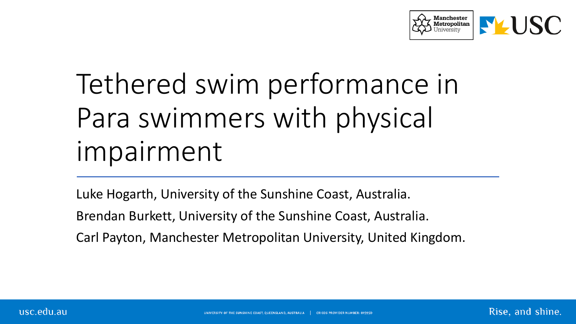

# Tethered swim performance in Para swimmers with physical impairment

Luke Hogarth, University of the Sunshine Coast, Australia.

Brendan Burkett, University of the Sunshine Coast, Australia.

Carl Payton, Manchester Metropolitan University, United Kingdom.

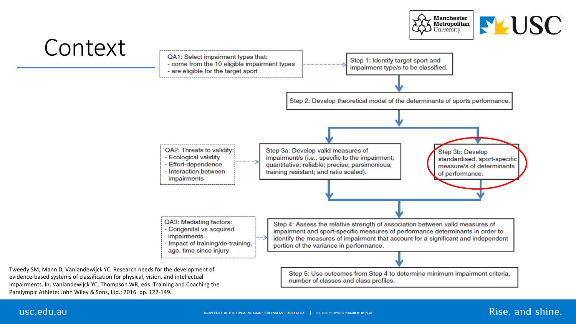



impairments. In: Vanlandewijck YC, Thompson WR, eds. Training and Coaching the Paralympic Athlete: John Wiley & Sons, Ltd.; 2016. pp. 122-149.

usc.edu.au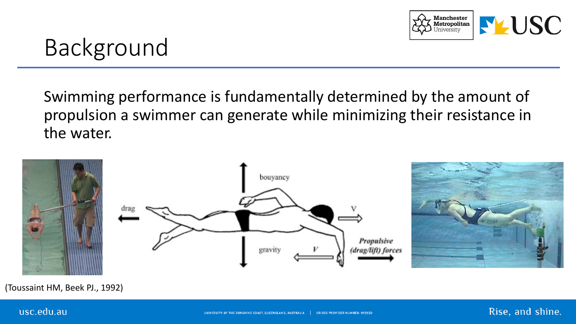

## Background

Swimming performance is fundamentally determined by the amount of propulsion a swimmer can generate while minimizing their resistance in the water.



(Toussaint HM, Beek PJ., 1992)

#### usc.edu.au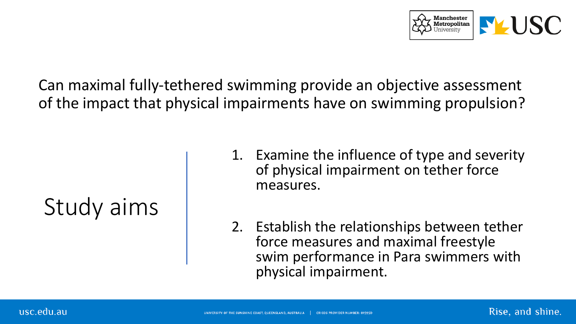

Can maximal fully-tethered swimming provide an objective assessment of the impact that physical impairments have on swimming propulsion?

## Study aims

- 1. Examine the influence of type and severity of physical impairment on tether force measures.
- 2. Establish the relationships between tether force measures and maximal freestyle swim performance in Para swimmers with physical impairment.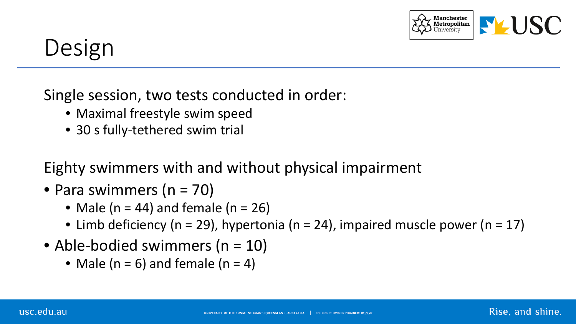

Rise, and shine.

## Design

Single session, two tests conducted in order:

- Maximal freestyle swim speed
- 30 s fully-tethered swim trial

Eighty swimmers with and without physical impairment

- Para swimmers (n = 70)
	- Male ( $n = 44$ ) and female ( $n = 26$ )
	- Limb deficiency (n = 29), hypertonia (n = 24), impaired muscle power (n = 17)
- Able-bodied swimmers (n = 10)
	- Male ( $n = 6$ ) and female ( $n = 4$ )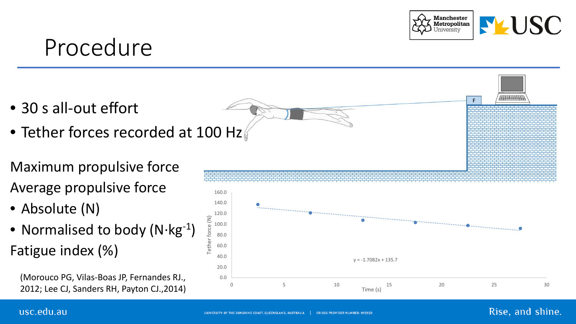### Procedure

- 
- 
- Maximum propulsive force Average propulsive force
- Absolute (N)
- Normalised to body (N·kg<sup>-1</sup>) • 30 s all-out effort<br>
• Tether forces recorded at 100 Hz<br>
Maximum propulsive force<br>
Average propulsive force<br>
• Absolute (N)<br>
• Normalised to body (N·kg<sup>-1</sup>)<br>
Fatigue index (%)

(Morouco PG, Vilas-Boas JP, Fernandes RJ., 2012; Lee CJ, Sanders RH, Payton CJ.,2014 )



#### usc.edu.au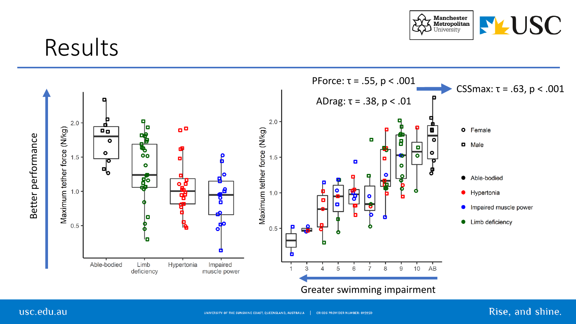

### Results



#### usc.edu.au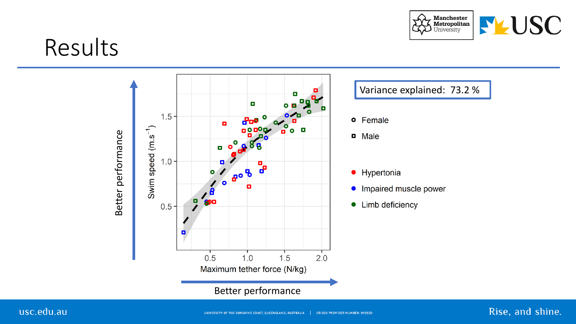

Rise, and shine.

### Results

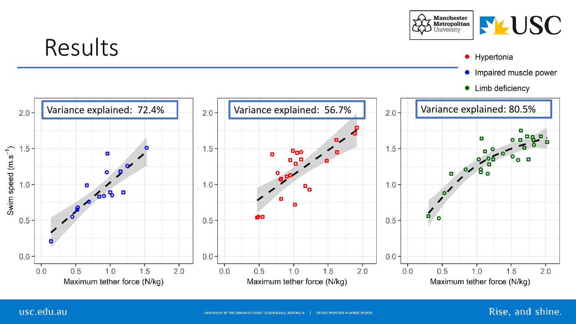

#### usc.edu.au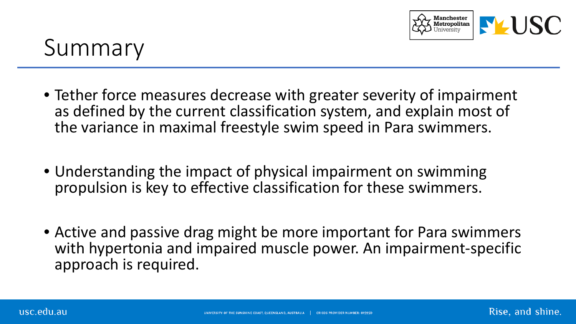

### Summary

- Tether force measures decrease with greater severity of impairment as defined by the current classification system, and explain most of the variance in maximal freestyle swim speed in Para swimmers.
- Understanding the impact of physical impairment on swimming propulsion is key to effective classification for these swimmers.
- Active and passive drag might be more important for Para swimmers with hypertonia and impaired muscle power. An impairment-specific approach is required.